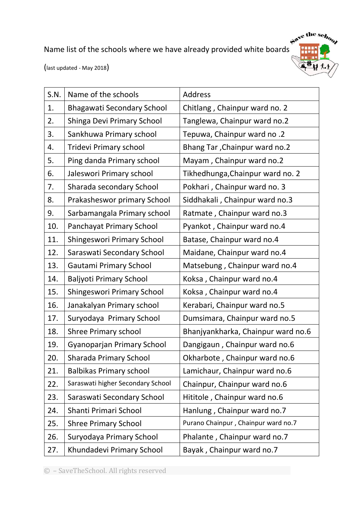Name list of the schools where we have already provided white boards



(last updated - May 2018)

| S.N. | Name of the schools               | <b>Address</b>                       |
|------|-----------------------------------|--------------------------------------|
| 1.   | <b>Bhagawati Secondary School</b> | Chitlang, Chainpur ward no. 2        |
| 2.   | Shinga Devi Primary School        | Tanglewa, Chainpur ward no.2         |
| 3.   | Sankhuwa Primary school           | Tepuwa, Chainpur ward no .2          |
| 4.   | <b>Tridevi Primary school</b>     | <b>Bhang Tar, Chainpur ward no.2</b> |
| 5.   | Ping danda Primary school         | Mayam, Chainpur ward no.2            |
| 6.   | Jaleswori Primary school          | Tikhedhunga, Chainpur ward no. 2     |
| 7.   | Sharada secondary School          | Pokhari, Chainpur ward no. 3         |
| 8.   | Prakasheswor primary School       | Siddhakali, Chainpur ward no.3       |
| 9.   | Sarbamangala Primary school       | Ratmate, Chainpur ward no.3          |
| 10.  | Panchayat Primary School          | Pyankot, Chainpur ward no.4          |
| 11.  | <b>Shingeswori Primary School</b> | Batase, Chainpur ward no.4           |
| 12.  | Saraswati Secondary School        | Maidane, Chainpur ward no.4          |
| 13.  | Gautami Primary School            | Matsebung, Chainpur ward no.4        |
| 14.  | <b>Baljyoti Primary School</b>    | Koksa, Chainpur ward no.4            |
| 15.  | Shingeswori Primary School        | Koksa, Chainpur ward no.4            |
| 16.  | Janakalyan Primary school         | Kerabari, Chainpur ward no.5         |
| 17.  | Suryodaya Primary School          | Dumsimara, Chainpur ward no.5        |
| 18.  | <b>Shree Primary school</b>       | Bhanjyankharka, Chainpur ward no.6   |
| 19.  | <b>Gyanoparjan Primary School</b> | Dangigaun, Chainpur ward no.6        |
| 20.  | Sharada Primary School            | Okharbote, Chainpur ward no.6        |
| 21.  | <b>Balbikas Primary school</b>    | Lamichaur, Chainpur ward no.6        |
| 22.  | Saraswati higher Secondary School | Chainpur, Chainpur ward no.6         |
| 23.  | Saraswati Secondary School        | Hititole, Chainpur ward no.6         |
| 24.  | Shanti Primari School             | Hanlung, Chainpur ward no.7          |
| 25.  | <b>Shree Primary School</b>       | Purano Chainpur, Chainpur ward no.7  |
| 26.  | Suryodaya Primary School          | Phalante, Chainpur ward no.7         |
| 27.  | Khundadevi Primary School         | Bayak, Chainpur ward no.7            |